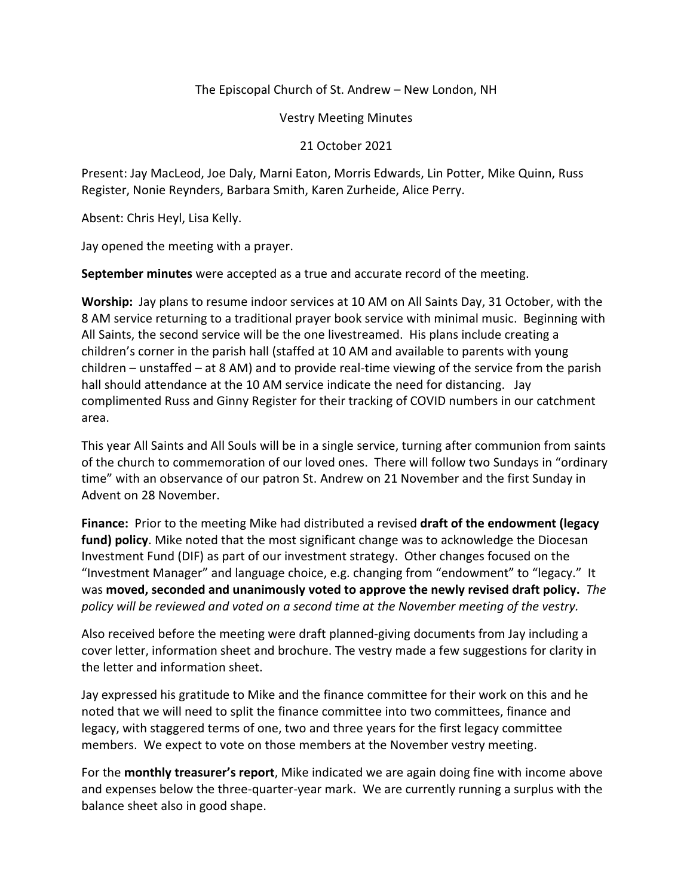The Episcopal Church of St. Andrew – New London, NH

Vestry Meeting Minutes

21 October 2021

Present: Jay MacLeod, Joe Daly, Marni Eaton, Morris Edwards, Lin Potter, Mike Quinn, Russ Register, Nonie Reynders, Barbara Smith, Karen Zurheide, Alice Perry.

Absent: Chris Heyl, Lisa Kelly.

Jay opened the meeting with a prayer.

**September minutes** were accepted as a true and accurate record of the meeting.

**Worship:** Jay plans to resume indoor services at 10 AM on All Saints Day, 31 October, with the 8 AM service returning to a traditional prayer book service with minimal music. Beginning with All Saints, the second service will be the one livestreamed. His plans include creating a children's corner in the parish hall (staffed at 10 AM and available to parents with young children – unstaffed – at 8 AM) and to provide real-time viewing of the service from the parish hall should attendance at the 10 AM service indicate the need for distancing. Jay complimented Russ and Ginny Register for their tracking of COVID numbers in our catchment area.

This year All Saints and All Souls will be in a single service, turning after communion from saints of the church to commemoration of our loved ones. There will follow two Sundays in "ordinary time" with an observance of our patron St. Andrew on 21 November and the first Sunday in Advent on 28 November.

**Finance:** Prior to the meeting Mike had distributed a revised **draft of the endowment (legacy fund) policy**. Mike noted that the most significant change was to acknowledge the Diocesan Investment Fund (DIF) as part of our investment strategy. Other changes focused on the "Investment Manager" and language choice, e.g. changing from "endowment" to "legacy." It was **moved, seconded and unanimously voted to approve the newly revised draft policy.** *The policy will be reviewed and voted on a second time at the November meeting of the vestry.*

Also received before the meeting were draft planned-giving documents from Jay including a cover letter, information sheet and brochure. The vestry made a few suggestions for clarity in the letter and information sheet.

Jay expressed his gratitude to Mike and the finance committee for their work on this and he noted that we will need to split the finance committee into two committees, finance and legacy, with staggered terms of one, two and three years for the first legacy committee members. We expect to vote on those members at the November vestry meeting.

For the **monthly treasurer's report**, Mike indicated we are again doing fine with income above and expenses below the three-quarter-year mark. We are currently running a surplus with the balance sheet also in good shape.